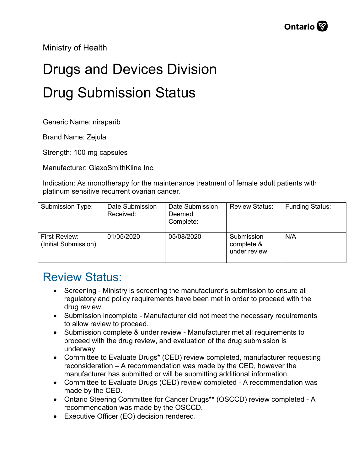Ministry of Health

## Drugs and Devices Division Drug Submission Status

Generic Name: niraparib

Brand Name: Zejula

Strength: 100 mg capsules

Manufacturer: GlaxoSmithKline Inc.

Indication: As monotherapy for the maintenance treatment of female adult patients with platinum sensitive recurrent ovarian cancer.

| Submission Type:                      | Date Submission<br>Received: | Date Submission<br>Deemed<br>Complete: | <b>Review Status:</b>                    | <b>Funding Status:</b> |
|---------------------------------------|------------------------------|----------------------------------------|------------------------------------------|------------------------|
| First Review:<br>(Initial Submission) | 01/05/2020                   | 05/08/2020                             | Submission<br>complete &<br>under review | N/A                    |

## Review Status:

- Screening Ministry is screening the manufacturer's submission to ensure all regulatory and policy requirements have been met in order to proceed with the drug review.
- Submission incomplete Manufacturer did not meet the necessary requirements to allow review to proceed.
- Submission complete & under review Manufacturer met all requirements to proceed with the drug review, and evaluation of the drug submission is underway.
- Committee to Evaluate Drugs\* (CED) review completed, manufacturer requesting reconsideration – A recommendation was made by the CED, however the manufacturer has submitted or will be submitting additional information.
- Committee to Evaluate Drugs (CED) review completed A recommendation was made by the CED.
- Ontario Steering Committee for Cancer Drugs\*\* (OSCCD) review completed A recommendation was made by the OSCCD.
- Executive Officer (EO) decision rendered.